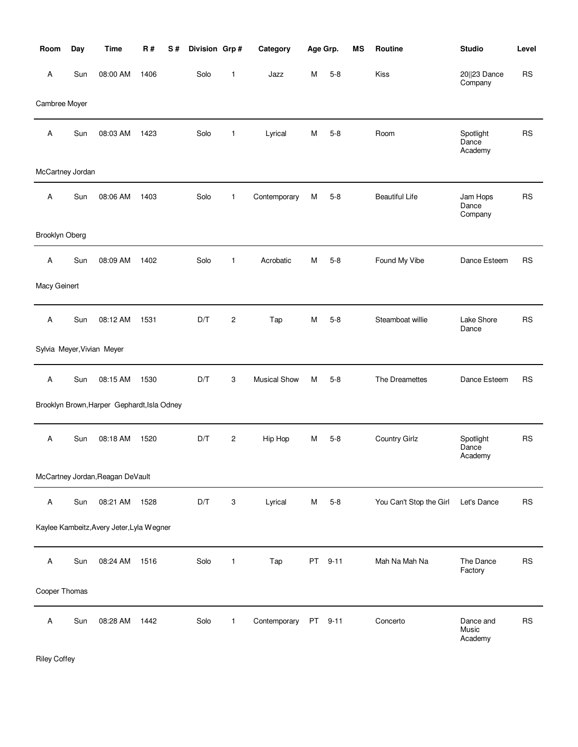| Room             | Day | <b>Time</b>                                 | <b>R#</b> | S# | Division Grp# |                | Category            |    | Age Grp. | <b>MS</b> | Routine                 | <b>Studio</b>                 | Level     |
|------------------|-----|---------------------------------------------|-----------|----|---------------|----------------|---------------------|----|----------|-----------|-------------------------|-------------------------------|-----------|
| Α                | Sun | 08:00 AM                                    | 1406      |    | Solo          | $\mathbf{1}$   | Jazz                | м  | $5 - 8$  |           | Kiss                    | 20  23 Dance<br>Company       | <b>RS</b> |
| Cambree Moyer    |     |                                             |           |    |               |                |                     |    |          |           |                         |                               |           |
| Α                | Sun | 08:03 AM                                    | 1423      |    | Solo          | 1              | Lyrical             | M  | $5 - 8$  |           | Room                    | Spotlight<br>Dance<br>Academy | <b>RS</b> |
| McCartney Jordan |     |                                             |           |    |               |                |                     |    |          |           |                         |                               |           |
| Α                | Sun | 08:06 AM                                    | 1403      |    | Solo          | $\mathbf{1}$   | Contemporary        | M  | $5-8$    |           | <b>Beautiful Life</b>   | Jam Hops<br>Dance<br>Company  | <b>RS</b> |
| Brooklyn Oberg   |     |                                             |           |    |               |                |                     |    |          |           |                         |                               |           |
| Α                | Sun | 08:09 AM                                    | 1402      |    | Solo          | $\mathbf{1}$   | Acrobatic           | м  | $5 - 8$  |           | Found My Vibe           | Dance Esteem                  | <b>RS</b> |
| Macy Geinert     |     |                                             |           |    |               |                |                     |    |          |           |                         |                               |           |
| Α                | Sun | 08:12 AM                                    | 1531      |    | D/T           | $\overline{c}$ | Tap                 | М  | $5-8$    |           | Steamboat willie        | Lake Shore<br>Dance           | RS        |
|                  |     | Sylvia Meyer, Vivian Meyer                  |           |    |               |                |                     |    |          |           |                         |                               |           |
| Α                | Sun | 08:15 AM                                    | 1530      |    | D/T           | 3              | <b>Musical Show</b> | М  | $5-8$    |           | The Dreamettes          | Dance Esteem                  | <b>RS</b> |
|                  |     | Brooklyn Brown, Harper Gephardt, Isla Odney |           |    |               |                |                     |    |          |           |                         |                               |           |
| Α                | Sun | 08:18 AM                                    | 1520      |    | D/T           | 2              | Hip Hop             | м  | $5 - 8$  |           | <b>Country Girlz</b>    | Spotlight<br>Dance<br>Academy | <b>RS</b> |
|                  |     | McCartney Jordan, Reagan DeVault            |           |    |               |                |                     |    |          |           |                         |                               |           |
| Α                | Sun | 08:21 AM                                    | 1528      |    | D/T           | 3              | Lyrical             | M  | $5 - 8$  |           | You Can't Stop the Girl | Let's Dance                   | <b>RS</b> |
|                  |     | Kaylee Kambeitz, Avery Jeter, Lyla Wegner   |           |    |               |                |                     |    |          |           |                         |                               |           |
| Α                | Sun | 08:24 AM                                    | 1516      |    | Solo          | 1              | Tap                 | PT | $9 - 11$ |           | Mah Na Mah Na           | The Dance<br>Factory          | <b>RS</b> |
| Cooper Thomas    |     |                                             |           |    |               |                |                     |    |          |           |                         |                               |           |
| Α                | Sun | 08:28 AM                                    | 1442      |    | Solo          | $\mathbf{1}$   | Contemporary        | PT | $9 - 11$ |           | Concerto                | Dance and<br>Music<br>Academy | <b>RS</b> |

Riley Coffey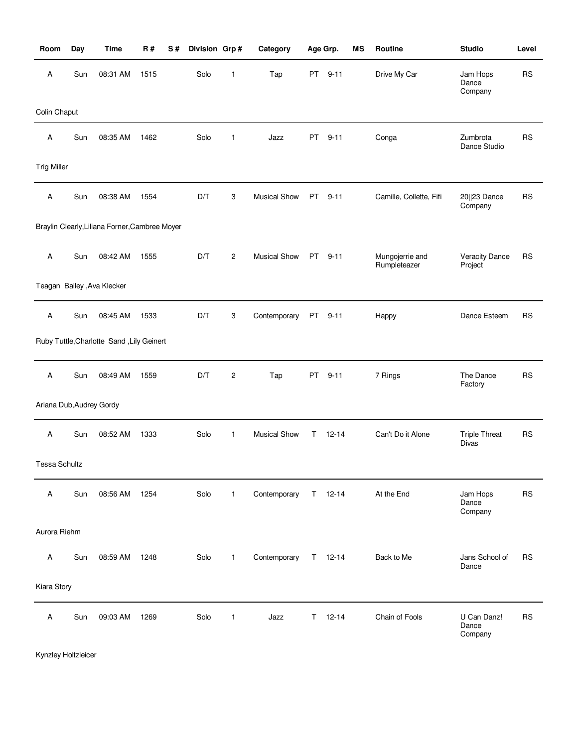| Room                     | Day | <b>Time</b>                                    | <b>R#</b> | S# | Division Grp# |                | Category            |           | Age Grp.      | <b>MS</b> | Routine                         | <b>Studio</b>                    | Level     |
|--------------------------|-----|------------------------------------------------|-----------|----|---------------|----------------|---------------------|-----------|---------------|-----------|---------------------------------|----------------------------------|-----------|
| Α                        | Sun | 08:31 AM                                       | 1515      |    | Solo          | 1              | Tap                 | PT        | $9 - 11$      |           | Drive My Car                    | Jam Hops<br>Dance<br>Company     | <b>RS</b> |
| Colin Chaput             |     |                                                |           |    |               |                |                     |           |               |           |                                 |                                  |           |
| Α                        | Sun | 08:35 AM                                       | 1462      |    | Solo          | 1              | Jazz                | PT        | $9 - 11$      |           | Conga                           | Zumbrota<br>Dance Studio         | <b>RS</b> |
| <b>Trig Miller</b>       |     |                                                |           |    |               |                |                     |           |               |           |                                 |                                  |           |
| Α                        | Sun | 08:38 AM                                       | 1554      |    | D/T           | 3              | <b>Musical Show</b> | <b>PT</b> | $9 - 11$      |           | Camille, Collette, Fifi         | 20  23 Dance<br>Company          | <b>RS</b> |
|                          |     | Braylin Clearly, Liliana Forner, Cambree Moyer |           |    |               |                |                     |           |               |           |                                 |                                  |           |
| A                        | Sun | 08:42 AM                                       | 1555      |    | D/T           | $\overline{c}$ | <b>Musical Show</b> | PT -      | $9 - 11$      |           | Mungojerrie and<br>Rumpleteazer | <b>Veracity Dance</b><br>Project | <b>RS</b> |
|                          |     | Teagan Bailey , Ava Klecker                    |           |    |               |                |                     |           |               |           |                                 |                                  |           |
| Α                        | Sun | 08:45 AM                                       | 1533      |    | D/T           | 3              | Contemporary        | PT        | $9 - 11$      |           | Happy                           | Dance Esteem                     | <b>RS</b> |
|                          |     | Ruby Tuttle, Charlotte Sand, Lily Geinert      |           |    |               |                |                     |           |               |           |                                 |                                  |           |
| Α                        | Sun | 08:49 AM                                       | 1559      |    | D/T           | $\overline{c}$ | Tap                 | PT        | $9 - 11$      |           | 7 Rings                         | The Dance<br>Factory             | <b>RS</b> |
| Ariana Dub, Audrey Gordy |     |                                                |           |    |               |                |                     |           |               |           |                                 |                                  |           |
| Α                        | Sun | 08:52 AM                                       | 1333      |    | Solo          | 1              | <b>Musical Show</b> | T.        | $12 - 14$     |           | Can't Do it Alone               | <b>Triple Threat</b><br>Divas    | <b>RS</b> |
| Tessa Schultz            |     |                                                |           |    |               |                |                     |           |               |           |                                 |                                  |           |
| Α                        | Sun | 08:56 AM                                       | 1254      |    | Solo          | $\mathbf{1}$   | Contemporary        |           | $T = 12 - 14$ |           | At the End                      | Jam Hops<br>Dance<br>Company     | <b>RS</b> |
| Aurora Riehm             |     |                                                |           |    |               |                |                     |           |               |           |                                 |                                  |           |
| Α                        | Sun | 08:59 AM                                       | 1248      |    | Solo          | $\mathbf{1}$   | Contemporary        |           | $T = 12 - 14$ |           | Back to Me                      | Jans School of<br>Dance          | <b>RS</b> |
| Kiara Story              |     |                                                |           |    |               |                |                     |           |               |           |                                 |                                  |           |
| Α                        | Sun | 09:03 AM                                       | 1269      |    | Solo          | $\mathbf{1}$   | Jazz                | T.        | $12 - 14$     |           | Chain of Fools                  | U Can Danz!<br>Dance<br>Company  | <b>RS</b> |

Kynzley Holtzleicer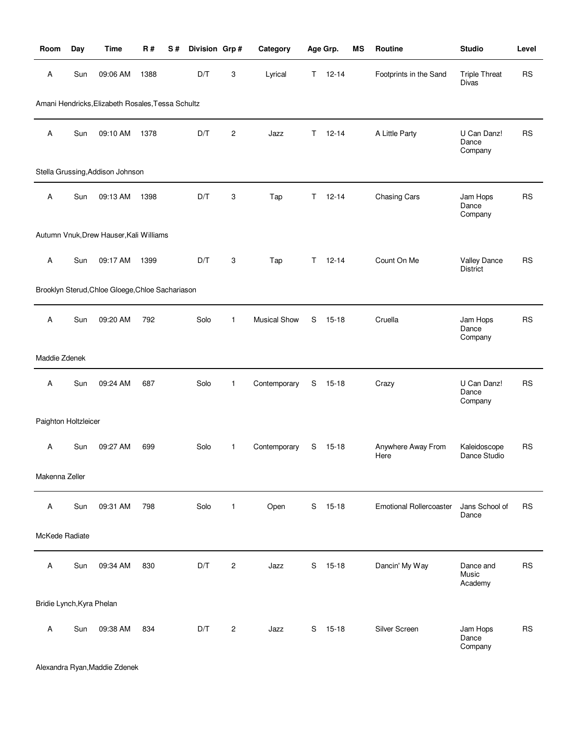| Room                      | Day | <b>Time</b>                                       | R#   | S# | Division Grp# |              | Category            |    | Age Grp.      | <b>MS</b> | Routine                        | <b>Studio</b>                        | Level     |
|---------------------------|-----|---------------------------------------------------|------|----|---------------|--------------|---------------------|----|---------------|-----------|--------------------------------|--------------------------------------|-----------|
| Α                         | Sun | 09:06 AM                                          | 1388 |    | D/T           | 3            | Lyrical             |    | $T = 12 - 14$ |           | Footprints in the Sand         | <b>Triple Threat</b><br><b>Divas</b> | <b>RS</b> |
|                           |     | Amani Hendricks, Elizabeth Rosales, Tessa Schultz |      |    |               |              |                     |    |               |           |                                |                                      |           |
| Α                         | Sun | 09:10 AM                                          | 1378 |    | D/T           | 2            | Jazz                | Τ  | $12 - 14$     |           | A Little Party                 | U Can Danz!<br>Dance<br>Company      | <b>RS</b> |
|                           |     | Stella Grussing, Addison Johnson                  |      |    |               |              |                     |    |               |           |                                |                                      |           |
| Α                         | Sun | 09:13 AM                                          | 1398 |    | D/T           | 3            | Tap                 | T. | $12 - 14$     |           | Chasing Cars                   | Jam Hops<br>Dance<br>Company         | <b>RS</b> |
|                           |     | Autumn Vnuk, Drew Hauser, Kali Williams           |      |    |               |              |                     |    |               |           |                                |                                      |           |
| Α                         | Sun | 09:17 AM                                          | 1399 |    | D/T           | 3            | Tap                 | T. | $12 - 14$     |           | Count On Me                    | Valley Dance<br><b>District</b>      | <b>RS</b> |
|                           |     | Brooklyn Sterud, Chloe Gloege, Chloe Sachariason  |      |    |               |              |                     |    |               |           |                                |                                      |           |
| Α                         | Sun | 09:20 AM                                          | 792  |    | Solo          | $\mathbf{1}$ | <b>Musical Show</b> | S  | $15 - 18$     |           | Cruella                        | Jam Hops<br>Dance<br>Company         | <b>RS</b> |
| Maddie Zdenek             |     |                                                   |      |    |               |              |                     |    |               |           |                                |                                      |           |
| Α                         | Sun | 09:24 AM                                          | 687  |    | Solo          | 1            | Contemporary        | S  | $15 - 18$     |           | Crazy                          | U Can Danz!<br>Dance<br>Company      | <b>RS</b> |
| Paighton Holtzleicer      |     |                                                   |      |    |               |              |                     |    |               |           |                                |                                      |           |
| Α                         | Sun | 09:27 AM                                          | 699  |    | Solo          | 1            | Contemporary        | S  | 15-18         |           | Anywhere Away From<br>Here     | Kaleidoscope<br>Dance Studio         | <b>RS</b> |
| Makenna Zeller            |     |                                                   |      |    |               |              |                     |    |               |           |                                |                                      |           |
| Α                         | Sun | 09:31 AM                                          | 798  |    | Solo          | $\mathbf{1}$ | Open                | S  | 15-18         |           | <b>Emotional Rollercoaster</b> | Jans School of<br>Dance              | RS        |
| McKede Radiate            |     |                                                   |      |    |               |              |                     |    |               |           |                                |                                      |           |
| Α                         | Sun | 09:34 AM                                          | 830  |    | D/T           | 2            | Jazz                | S  | 15-18         |           | Dancin' My Way                 | Dance and<br>Music<br>Academy        | <b>RS</b> |
| Bridie Lynch, Kyra Phelan |     |                                                   |      |    |               |              |                     |    |               |           |                                |                                      |           |
| Α                         | Sun | 09:38 AM                                          | 834  |    | D/T           | 2            | Jazz                | S  | $15 - 18$     |           | Silver Screen                  | Jam Hops<br>Dance<br>Company         | <b>RS</b> |

Alexandra Ryan,Maddie Zdenek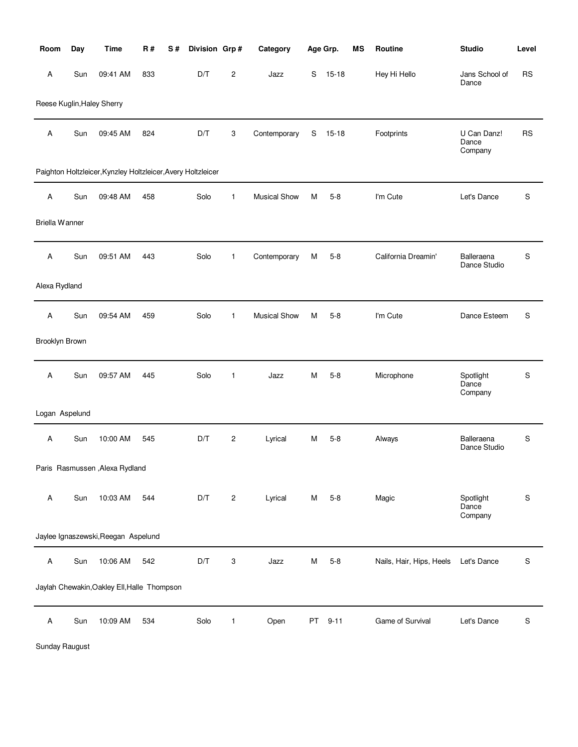| Room           | Day | <b>Time</b>                                                  | <b>R#</b> | S# | Division Grp#           |                         | Category            |               | Age Grp.  | <b>MS</b> | Routine                  | <b>Studio</b>                   | Level       |
|----------------|-----|--------------------------------------------------------------|-----------|----|-------------------------|-------------------------|---------------------|---------------|-----------|-----------|--------------------------|---------------------------------|-------------|
| А              | Sun | 09:41 AM                                                     | 833       |    | D/T                     | $\overline{c}$          | Jazz                | S             | $15 - 18$ |           | Hey Hi Hello             | Jans School of<br>Dance         | <b>RS</b>   |
|                |     | Reese Kuglin, Haley Sherry                                   |           |    |                         |                         |                     |               |           |           |                          |                                 |             |
| А              | Sun | 09:45 AM                                                     | 824       |    | D/T                     | 3                       | Contemporary        | ${\mathsf S}$ | $15 - 18$ |           | Footprints               | U Can Danz!<br>Dance<br>Company | <b>RS</b>   |
|                |     | Paighton Holtzleicer, Kynzley Holtzleicer, Avery Holtzleicer |           |    |                         |                         |                     |               |           |           |                          |                                 |             |
| Α              | Sun | 09:48 AM                                                     | 458       |    | Solo                    | $\mathbf{1}$            | <b>Musical Show</b> | М             | $5-8$     |           | I'm Cute                 | Let's Dance                     | S           |
| Briella Wanner |     |                                                              |           |    |                         |                         |                     |               |           |           |                          |                                 |             |
| Α              | Sun | 09:51 AM                                                     | 443       |    | Solo                    | 1                       | Contemporary        | M             | $5 - 8$   |           | California Dreamin'      | Balleraena<br>Dance Studio      | S           |
| Alexa Rydland  |     |                                                              |           |    |                         |                         |                     |               |           |           |                          |                                 |             |
| Α              | Sun | 09:54 AM                                                     | 459       |    | Solo                    | $\mathbf{1}$            | <b>Musical Show</b> | м             | $5 - 8$   |           | I'm Cute                 | Dance Esteem                    | S           |
| Brooklyn Brown |     |                                                              |           |    |                         |                         |                     |               |           |           |                          |                                 |             |
| Α              | Sun | 09:57 AM                                                     | 445       |    | Solo                    | $\mathbf{1}$            | Jazz                | м             | $5 - 8$   |           | Microphone               | Spotlight<br>Dance<br>Company   | S           |
| Logan Aspelund |     |                                                              |           |    |                         |                         |                     |               |           |           |                          |                                 |             |
| А              | Sun | 10:00 AM                                                     | 545       |    | $\mathsf{D}/\mathsf{T}$ | $\overline{c}$          | Lyrical             | м             | $5 - 8$   |           | Always                   | Balleraena<br>Dance Studio      | S           |
|                |     | Paris Rasmussen, Alexa Rydland                               |           |    |                         |                         |                     |               |           |           |                          |                                 |             |
| А              | Sun | 10:03 AM                                                     | 544       |    | D/T                     | $\overline{\mathbf{c}}$ | Lyrical             | М             | $5 - 8$   |           | Magic                    | Spotlight<br>Dance<br>Company   | $\mathbf S$ |
|                |     | Jaylee Ignaszewski, Reegan Aspelund                          |           |    |                         |                         |                     |               |           |           |                          |                                 |             |
| Α              | Sun | 10:06 AM                                                     | 542       |    | D/T                     | 3                       | Jazz                | M             | $5 - 8$   |           | Nails, Hair, Hips, Heels | Let's Dance                     | S           |
|                |     | Jaylah Chewakin, Oakley Ell, Halle Thompson                  |           |    |                         |                         |                     |               |           |           |                          |                                 |             |
| Α              | Sun | 10:09 AM                                                     | 534       |    | Solo                    | 1                       | Open                | PT            | $9 - 11$  |           | Game of Survival         | Let's Dance                     | S           |

Sunday Raugust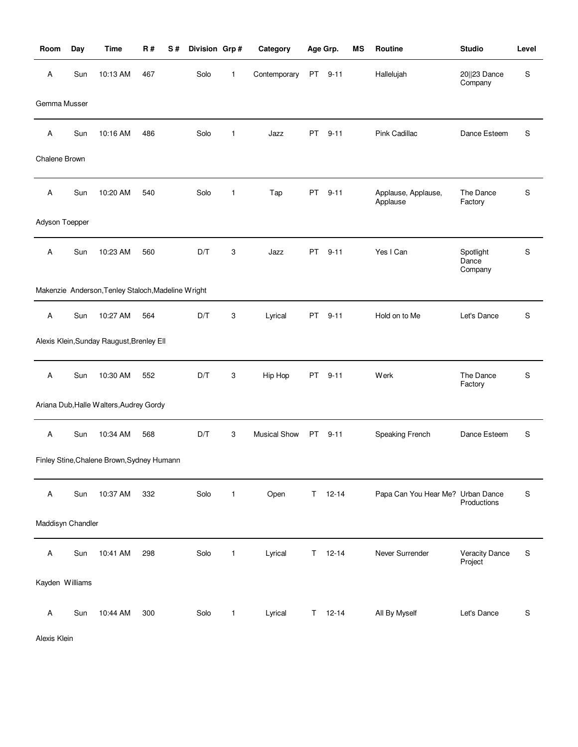| Room              | Day | <b>Time</b>                                        | <b>R#</b> | S# | Division Grp# |              | Category            |    | Age Grp.  | MS | Routine                           | <b>Studio</b>                    | Level     |
|-------------------|-----|----------------------------------------------------|-----------|----|---------------|--------------|---------------------|----|-----------|----|-----------------------------------|----------------------------------|-----------|
| Α                 | Sun | 10:13 AM                                           | 467       |    | Solo          | $\mathbf{1}$ | Contemporary        |    | PT 9-11   |    | Hallelujah                        | 20  23 Dance<br>Company          | S         |
| Gemma Musser      |     |                                                    |           |    |               |              |                     |    |           |    |                                   |                                  |           |
| Α                 | Sun | 10:16 AM                                           | 486       |    | Solo          | 1            | Jazz                | PT | $9 - 11$  |    | Pink Cadillac                     | Dance Esteem                     | S         |
| Chalene Brown     |     |                                                    |           |    |               |              |                     |    |           |    |                                   |                                  |           |
| Α                 | Sun | 10:20 AM                                           | 540       |    | Solo          | $\mathbf{1}$ | Tap                 | PT | $9 - 11$  |    | Applause, Applause,<br>Applause   | The Dance<br>Factory             | S         |
| Adyson Toepper    |     |                                                    |           |    |               |              |                     |    |           |    |                                   |                                  |           |
| Α                 | Sun | 10:23 AM                                           | 560       |    | D/T           | 3            | Jazz                | PT | $9 - 11$  |    | Yes I Can                         | Spotlight<br>Dance<br>Company    | S         |
|                   |     | Makenzie Anderson, Tenley Staloch, Madeline Wright |           |    |               |              |                     |    |           |    |                                   |                                  |           |
| Α                 | Sun | 10:27 AM                                           | 564       |    | D/T           | 3            | Lyrical             | PT | $9 - 11$  |    | Hold on to Me                     | Let's Dance                      | ${\sf S}$ |
|                   |     | Alexis Klein, Sunday Raugust, Brenley Ell          |           |    |               |              |                     |    |           |    |                                   |                                  |           |
| Α                 | Sun | 10:30 AM                                           | 552       |    | D/T           | 3            | Hip Hop             | PT | $9 - 11$  |    | Werk                              | The Dance<br>Factory             | S         |
|                   |     | Ariana Dub, Halle Walters, Audrey Gordy            |           |    |               |              |                     |    |           |    |                                   |                                  |           |
| Α                 | Sun | 10:34 AM                                           | 568       |    | D/T           | 3            | <b>Musical Show</b> | PT | $9 - 11$  |    | Speaking French                   | Dance Esteem                     | S         |
|                   |     | Finley Stine, Chalene Brown, Sydney Humann         |           |    |               |              |                     |    |           |    |                                   |                                  |           |
| Α                 | Sun | 10:37 AM                                           | 332       |    | Solo          | $\mathbf{1}$ | Open                | T. | $12 - 14$ |    | Papa Can You Hear Me? Urban Dance | Productions                      | S         |
| Maddisyn Chandler |     |                                                    |           |    |               |              |                     |    |           |    |                                   |                                  |           |
| Α                 | Sun | 10:41 AM                                           | 298       |    | Solo          | $\mathbf{1}$ | Lyrical             | Τ  | $12 - 14$ |    | Never Surrender                   | <b>Veracity Dance</b><br>Project | S         |
| Kayden Williams   |     |                                                    |           |    |               |              |                     |    |           |    |                                   |                                  |           |
| Α                 | Sun | 10:44 AM                                           | 300       |    | Solo          | 1            | Lyrical             | Τ  | $12 - 14$ |    | All By Myself                     | Let's Dance                      | S         |

Alexis Klein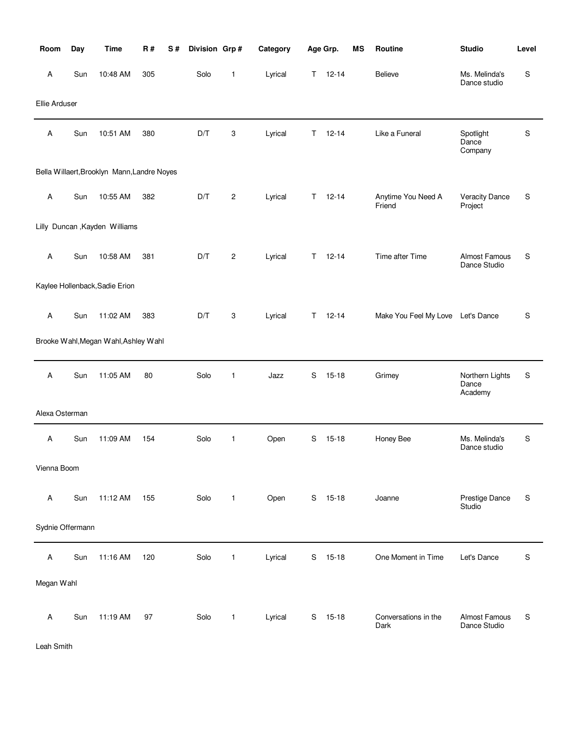| Room             | Day | <b>Time</b>                                 | <b>R#</b> | S# | Division Grp# |                | Category |    | Age Grp.  | <b>MS</b> | Routine                      | <b>Studio</b>                       | Level |
|------------------|-----|---------------------------------------------|-----------|----|---------------|----------------|----------|----|-----------|-----------|------------------------------|-------------------------------------|-------|
| Α                | Sun | 10:48 AM                                    | 305       |    | Solo          | 1              | Lyrical  | T. | $12 - 14$ |           | Believe                      | Ms. Melinda's<br>Dance studio       | S     |
| Ellie Arduser    |     |                                             |           |    |               |                |          |    |           |           |                              |                                     |       |
| Α                | Sun | 10:51 AM                                    | 380       |    | D/T           | 3              | Lyrical  | Τ  | $12 - 14$ |           | Like a Funeral               | Spotlight<br>Dance<br>Company       | S     |
|                  |     | Bella Willaert, Brooklyn Mann, Landre Noyes |           |    |               |                |          |    |           |           |                              |                                     |       |
| Α                | Sun | 10:55 AM                                    | 382       |    | D/T           | $\overline{c}$ | Lyrical  | T. | $12 - 14$ |           | Anytime You Need A<br>Friend | <b>Veracity Dance</b><br>Project    | S     |
|                  |     | Lilly Duncan, Kayden Williams               |           |    |               |                |          |    |           |           |                              |                                     |       |
| Α                | Sun | 10:58 AM                                    | 381       |    | D/T           | $\overline{c}$ | Lyrical  | T. | $12 - 14$ |           | Time after Time              | Almost Famous<br>Dance Studio       | S     |
|                  |     | Kaylee Hollenback, Sadie Erion              |           |    |               |                |          |    |           |           |                              |                                     |       |
| Α                | Sun | 11:02 AM                                    | 383       |    | D/T           | 3              | Lyrical  | T. | $12 - 14$ |           | Make You Feel My Love        | Let's Dance                         | S     |
|                  |     | Brooke Wahl, Megan Wahl, Ashley Wahl        |           |    |               |                |          |    |           |           |                              |                                     |       |
| Α                | Sun | 11:05 AM                                    | 80        |    | Solo          | $\mathbf{1}$   | Jazz     | S  | $15 - 18$ |           | Grimey                       | Northern Lights<br>Dance<br>Academy | S     |
| Alexa Osterman   |     |                                             |           |    |               |                |          |    |           |           |                              |                                     |       |
| Α                | Sun | 11:09 AM                                    | 154       |    | Solo          | 1              | Open     | S  | $15 - 18$ |           | Honey Bee                    | Ms. Melinda's<br>Dance studio       | S     |
| Vienna Boom      |     |                                             |           |    |               |                |          |    |           |           |                              |                                     |       |
| Α                | Sun | 11:12 AM                                    | 155       |    | Solo          | $\mathbf{1}$   | Open     |    | S 15-18   |           | Joanne                       | Prestige Dance<br>Studio            | S     |
| Sydnie Offermann |     |                                             |           |    |               |                |          |    |           |           |                              |                                     |       |
| Α                | Sun | 11:16 AM                                    | 120       |    | Solo          | $\mathbf{1}$   | Lyrical  | S  | $15 - 18$ |           | One Moment in Time           | Let's Dance                         | S     |
| Megan Wahl       |     |                                             |           |    |               |                |          |    |           |           |                              |                                     |       |
| Α                | Sun | 11:19 AM                                    | 97        |    | Solo          | $\mathbf{1}$   | Lyrical  |    | $S$ 15-18 |           | Conversations in the<br>Dark | Almost Famous<br>Dance Studio       | S     |

Leah Smith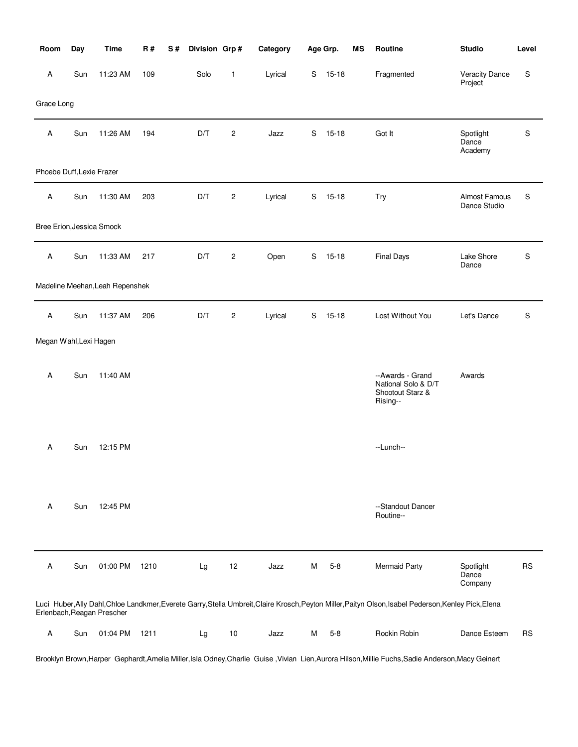| Room                      | Day | <b>Time</b>                     | <b>R#</b> | S# | Division Grp# |                | Category |             | Age Grp.  | ΜS | Routine                                                                                                                                               | <b>Studio</b>                    | Level     |
|---------------------------|-----|---------------------------------|-----------|----|---------------|----------------|----------|-------------|-----------|----|-------------------------------------------------------------------------------------------------------------------------------------------------------|----------------------------------|-----------|
| Α                         | Sun | 11:23 AM                        | 109       |    | Solo          | 1              | Lyrical  |             | S 15-18   |    | Fragmented                                                                                                                                            | <b>Veracity Dance</b><br>Project | S         |
| Grace Long                |     |                                 |           |    |               |                |          |             |           |    |                                                                                                                                                       |                                  |           |
| Α                         | Sun | 11:26 AM                        | 194       |    | D/T           | $\overline{c}$ | Jazz     | S           | $15 - 18$ |    | Got It                                                                                                                                                | Spotlight<br>Dance<br>Academy    | ${\sf S}$ |
| Phoebe Duff, Lexie Frazer |     |                                 |           |    |               |                |          |             |           |    |                                                                                                                                                       |                                  |           |
| Α                         | Sun | 11:30 AM                        | 203       |    | D/T           | $\overline{c}$ | Lyrical  | S           | $15 - 18$ |    | Try                                                                                                                                                   | Almost Famous<br>Dance Studio    | S         |
| Bree Erion, Jessica Smock |     |                                 |           |    |               |                |          |             |           |    |                                                                                                                                                       |                                  |           |
| Α                         | Sun | 11:33 AM                        | 217       |    | D/T           | $\overline{c}$ | Open     | S           | $15 - 18$ |    | <b>Final Days</b>                                                                                                                                     | Lake Shore<br>Dance              | S         |
|                           |     | Madeline Meehan, Leah Repenshek |           |    |               |                |          |             |           |    |                                                                                                                                                       |                                  |           |
| Α                         | Sun | 11:37 AM                        | 206       |    | D/T           | $\overline{c}$ | Lyrical  | $\mathbf S$ | $15 - 18$ |    | Lost Without You                                                                                                                                      | Let's Dance                      | S         |
| Megan Wahl, Lexi Hagen    |     |                                 |           |    |               |                |          |             |           |    |                                                                                                                                                       |                                  |           |
| Α                         | Sun | 11:40 AM                        |           |    |               |                |          |             |           |    | --Awards - Grand<br>National Solo & D/T<br>Shootout Starz &<br>Rising--                                                                               | Awards                           |           |
| A                         | Sun | 12:15 PM                        |           |    |               |                |          |             |           |    | --Lunch--                                                                                                                                             |                                  |           |
| Α                         | Sun | 12:45 PM                        |           |    |               |                |          |             |           |    | --Standout Dancer<br>Routine--                                                                                                                        |                                  |           |
| Α                         | Sun | 01:00 PM                        | 1210      |    | Lg            | 12             | Jazz     | М           | $5 - 8$   |    | Mermaid Party                                                                                                                                         | Spotlight<br>Dance<br>Company    | <b>RS</b> |
|                           |     | Erlenbach, Reagan Prescher      |           |    |               |                |          |             |           |    | Luci Huber, Ally Dahl, Chloe Landkmer, Everete Garry, Stella Umbreit, Claire Krosch, Peyton Miller, Paityn Olson, Isabel Pederson, Kenley Pick, Elena |                                  |           |
| Α                         | Sun | 01:04 PM                        | 1211      |    | Lg            | 10             | Jazz     | м           | $5 - 8$   |    | Rockin Robin                                                                                                                                          | Dance Esteem                     | <b>RS</b> |

Brooklyn Brown,Harper Gephardt,Amelia Miller,Isla Odney,Charlie Guise ,Vivian Lien,Aurora Hilson,Millie Fuchs,Sadie Anderson,Macy Geinert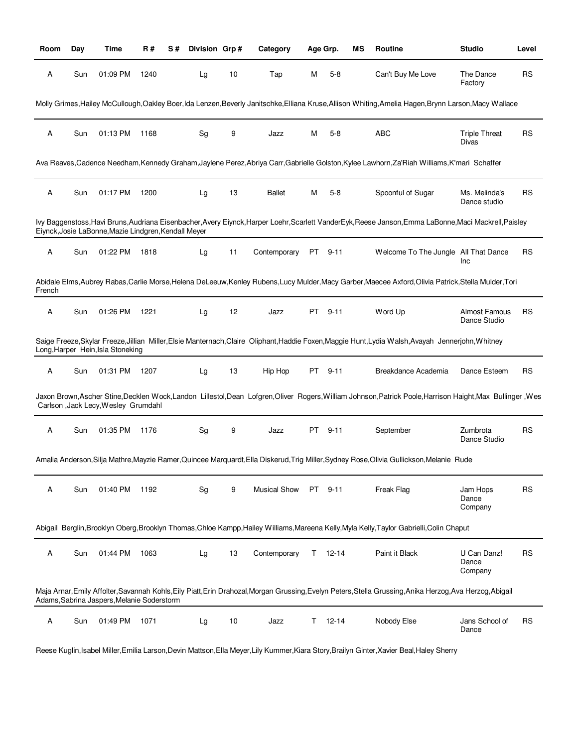| Room   | Day | Time                                                 | R#   | S# | Division Grp# |    | Category            |      | Age Grp.  | ΜS | Routine                                                                                                                                                     | <b>Studio</b>                   | Level     |
|--------|-----|------------------------------------------------------|------|----|---------------|----|---------------------|------|-----------|----|-------------------------------------------------------------------------------------------------------------------------------------------------------------|---------------------------------|-----------|
| Α      | Sun | 01:09 PM                                             | 1240 |    | Lg            | 10 | Tap                 | М    | $5-8$     |    | Can't Buy Me Love                                                                                                                                           | The Dance<br>Factory            | <b>RS</b> |
|        |     |                                                      |      |    |               |    |                     |      |           |    | Molly Grimes, Hailey McCullough, Oakley Boer, Ida Lenzen, Beverly Janitschke, Elliana Kruse, Allison Whiting, Amelia Hagen, Brynn Larson, Macy Wallace      |                                 |           |
| Α      | Sun | 01:13 PM                                             | 1168 |    | Sg            | 9  | Jazz                | М    | $5-8$     |    | ABC                                                                                                                                                         | <b>Triple Threat</b><br>Divas   | <b>RS</b> |
|        |     |                                                      |      |    |               |    |                     |      |           |    | Ava Reaves, Cadence Needham, Kennedy Graham, Jaylene Perez, Abriya Carr, Gabrielle Golston, Kylee Lawhorn, Za'Riah Williams, K'mari Schaffer                |                                 |           |
| Α      | Sun | 01:17 PM                                             | 1200 |    | Lg            | 13 | <b>Ballet</b>       | Μ    | $5 - 8$   |    | Spoonful of Sugar                                                                                                                                           | Ms. Melinda's<br>Dance studio   | <b>RS</b> |
|        |     | Eiynck, Josie LaBonne, Mazie Lindgren, Kendall Meyer |      |    |               |    |                     |      |           |    | lvy Baggenstoss, Havi Bruns, Audriana Eisenbacher, Avery Eiynck, Harper Loehr, Scarlett VanderEyk, Reese Janson, Emma LaBonne, Maci Mackrell, Paisley       |                                 |           |
| Α      | Sun | 01:22 PM                                             | 1818 |    | Lg            | 11 | Contemporary        | PT – | $9 - 11$  |    | Welcome To The Jungle All That Dance                                                                                                                        | Inc                             | <b>RS</b> |
| French |     |                                                      |      |    |               |    |                     |      |           |    | Abidale Elms, Aubrey Rabas, Carlie Morse, Helena DeLeeuw, Kenley Rubens, Lucy Mulder, Macy Garber, Maecee Axford, Olivia Patrick, Stella Mulder, Tori       |                                 |           |
| Α      | Sun | 01:26 PM                                             | 1221 |    | Lg            | 12 | Jazz                | PT   | $9 - 11$  |    | Word Up                                                                                                                                                     | Almost Famous<br>Dance Studio   | <b>RS</b> |
|        |     | Long, Harper Hein, Isla Stoneking                    |      |    |               |    |                     |      |           |    | Saige Freeze, Skylar Freeze, Jillian Miller, Elsie Manternach, Claire Oliphant, Haddie Foxen, Maggie Hunt, Lydia Walsh, Avayah Jennerjohn, Whitney          |                                 |           |
| Α      | Sun | 01:31 PM                                             | 1207 |    | Lg            | 13 | Hip Hop             | PT   | $9 - 11$  |    | Breakdance Academia                                                                                                                                         | Dance Esteem                    | <b>RS</b> |
|        |     | Carlson , Jack Lecy, Wesley Grumdahl                 |      |    |               |    |                     |      |           |    | Jaxon Brown, Ascher Stine, Decklen Wock, Landon Lillestol, Dean Lofgren, Oliver Rogers, William Johnson, Patrick Poole, Harrison Haight, Max Bullinger, Wes |                                 |           |
| Α      | Sun | 01:35 PM                                             | 1176 |    | Sg            | 9  | Jazz                | PT   | $9 - 11$  |    | September                                                                                                                                                   | Zumbrota<br>Dance Studio        | <b>RS</b> |
|        |     |                                                      |      |    |               |    |                     |      |           |    | Amalia Anderson, Silja Mathre, Mayzie Ramer, Quincee Marquardt, Ella Diskerud, Trig Miller, Sydney Rose, Olivia Gullickson, Melanie Rude                    |                                 |           |
| Α      | Sun | 01:40 PM                                             | 1192 |    | Sg            | 9  | <b>Musical Show</b> | PT.  | $9 - 11$  |    | Freak Flag                                                                                                                                                  | Jam Hops<br>Dance<br>Company    | <b>RS</b> |
|        |     |                                                      |      |    |               |    |                     |      |           |    | Abigail Berglin, Brooklyn Oberg, Brooklyn Thomas, Chloe Kampp, Hailey Williams, Mareena Kelly, Myla Kelly, Taylor Gabrielli, Colin Chaput                   |                                 |           |
| Α      | Sun | 01:44 PM                                             | 1063 |    | Lg            | 13 | Contemporary        | T.   | $12 - 14$ |    | Paint it Black                                                                                                                                              | U Can Danz!<br>Dance<br>Company | <b>RS</b> |
|        |     | Adams, Sabrina Jaspers, Melanie Soderstorm           |      |    |               |    |                     |      |           |    | Maja Arnar, Emily Affolter, Savannah Kohls, Eily Piatt, Erin Drahozal, Morgan Grussing, Evelyn Peters, Stella Grussing, Anika Herzog, Ava Herzog, Abigail   |                                 |           |
| Α      | Sun | 01:49 PM                                             | 1071 |    | Lg            | 10 | Jazz                | T.   | 12-14     |    | Nobody Else                                                                                                                                                 | Jans School of<br>Dance         | <b>RS</b> |

Reese Kuglin,Isabel Miller,Emilia Larson,Devin Mattson,Ella Meyer,Lily Kummer,Kiara Story,Brailyn Ginter,Xavier Beal,Haley Sherry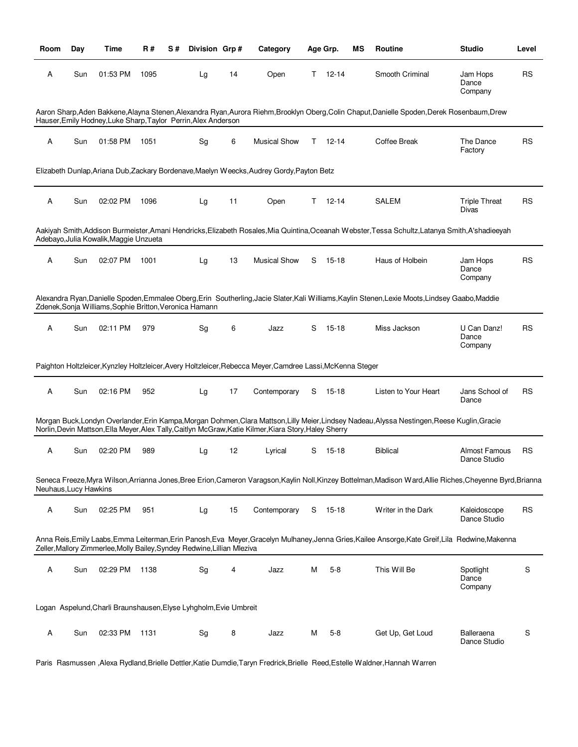| Room                  | Day | Time                                                                     | R#   | S# | Division Grp# |    | Category                                                                                                   |    | Age Grp.  | ΜS | Routine                                                                                                                                                     | <b>Studio</b>                        | Level     |
|-----------------------|-----|--------------------------------------------------------------------------|------|----|---------------|----|------------------------------------------------------------------------------------------------------------|----|-----------|----|-------------------------------------------------------------------------------------------------------------------------------------------------------------|--------------------------------------|-----------|
| Α                     | Sun | 01:53 PM                                                                 | 1095 |    | Lg            | 14 | Open                                                                                                       | T. | $12 - 14$ |    | Smooth Criminal                                                                                                                                             | Jam Hops<br>Dance<br>Company         | <b>RS</b> |
|                       |     | Hauser, Emily Hodney, Luke Sharp, Taylor Perrin, Alex Anderson           |      |    |               |    |                                                                                                            |    |           |    | Aaron Sharp, Aden Bakkene, Alayna Stenen, Alexandra Ryan, Aurora Riehm, Brooklyn Oberg, Colin Chaput, Danielle Spoden, Derek Rosenbaum, Drew                |                                      |           |
| А                     | Sun | 01:58 PM                                                                 | 1051 |    | Sg            | 6  | <b>Musical Show</b>                                                                                        | T. | 12-14     |    | Coffee Break                                                                                                                                                | The Dance<br>Factory                 | <b>RS</b> |
|                       |     |                                                                          |      |    |               |    | Elizabeth Dunlap, Ariana Dub, Zackary Bordenave, Maelyn Weecks, Audrey Gordy, Payton Betz                  |    |           |    |                                                                                                                                                             |                                      |           |
| Α                     | Sun | 02:02 PM                                                                 | 1096 |    | Lg            | 11 | Open                                                                                                       | T. | $12 - 14$ |    | <b>SALEM</b>                                                                                                                                                | <b>Triple Threat</b><br>Divas        | <b>RS</b> |
|                       |     | Adebayo, Julia Kowalik, Maggie Unzueta                                   |      |    |               |    |                                                                                                            |    |           |    | Aakiyah Smith, Addison Burmeister, Amani Hendricks, Elizabeth Rosales, Mia Quintina, Oceanah Webster, Tessa Schultz, Latanya Smith, A'shadieeyah            |                                      |           |
| Α                     | Sun | 02:07 PM                                                                 | 1001 |    | Lg            | 13 | <b>Musical Show</b>                                                                                        | S  | 15-18     |    | Haus of Holbein                                                                                                                                             | Jam Hops<br>Dance<br>Company         | <b>RS</b> |
|                       |     | Zdenek, Sonja Williams, Sophie Britton, Veronica Hamann                  |      |    |               |    |                                                                                                            |    |           |    | Alexandra Ryan,Danielle Spoden,Emmalee Oberg,Erin Southerling,Jacie Slater,Kali Williams,Kaylin Stenen,Lexie Moots,Lindsey Gaabo,Maddie                     |                                      |           |
| А                     | Sun | 02:11 PM                                                                 | 979  |    | Sg            | 6  | Jazz                                                                                                       | S  | 15-18     |    | Miss Jackson                                                                                                                                                | U Can Danz!<br>Dance<br>Company      | <b>RS</b> |
|                       |     |                                                                          |      |    |               |    | Paighton Holtzleicer, Kynzley Holtzleicer, Avery Holtzleicer, Rebecca Meyer, Camdree Lassi, McKenna Steger |    |           |    |                                                                                                                                                             |                                      |           |
| А                     | Sun | 02:16 PM                                                                 | 952  |    | Lg            | 17 | Contemporary                                                                                               | S  | 15-18     |    | Listen to Your Heart                                                                                                                                        | Jans School of<br>Dance              | <b>RS</b> |
|                       |     |                                                                          |      |    |               |    | Norlin, Devin Mattson, Ella Meyer, Alex Tally, Caitlyn McGraw, Katie Kilmer, Kiara Story, Haley Sherry     |    |           |    | Morgan Buck, Londyn Overlander, Erin Kampa, Morgan Dohmen, Clara Mattson, Lilly Meier, Lindsey Nadeau, Alyssa Nestingen, Reese Kuglin, Gracie               |                                      |           |
| Α                     | Sun | 02:20 PM                                                                 | 989  |    | Lg            | 12 | Lyrical                                                                                                    | S  | 15-18     |    | <b>Biblical</b>                                                                                                                                             | <b>Almost Famous</b><br>Dance Studio | <b>RS</b> |
| Neuhaus, Lucy Hawkins |     |                                                                          |      |    |               |    |                                                                                                            |    |           |    | Seneca Freeze, Myra Wilson, Arrianna Jones, Bree Erion, Cameron Varagson, Kaylin Noll, Kinzey Bottelman, Madison Ward, Allie Riches, Cheyenne Byrd, Brianna |                                      |           |
| Α                     | Sun | 02:25 PM                                                                 | 951  |    | Lg            | 15 | Contemporary                                                                                               | S  | 15-18     |    | Writer in the Dark                                                                                                                                          | Kaleidoscope<br>Dance Studio         | <b>RS</b> |
|                       |     | Zeller, Mallory Zimmerlee, Molly Bailey, Syndey Redwine, Lillian Mleziva |      |    |               |    |                                                                                                            |    |           |    | Anna Reis, Emily Laabs, Emma Leiterman, Erin Panosh, Eva Meyer, Gracelyn Mulhaney, Jenna Gries, Kailee Ansorge, Kate Greif, Lila Redwine, Makenna           |                                      |           |
| Α                     | Sun | 02:29 PM                                                                 | 1138 |    | Sg            | 4  | Jazz                                                                                                       | М  | $5 - 8$   |    | This Will Be                                                                                                                                                | Spotlight<br>Dance<br>Company        | S         |
|                       |     | Logan Aspelund, Charli Braunshausen, Elyse Lyhgholm, Evie Umbreit        |      |    |               |    |                                                                                                            |    |           |    |                                                                                                                                                             |                                      |           |
| A                     | Sun | 02:33 PM                                                                 | 1131 |    | Sg            | 8  | Jazz                                                                                                       | м  | $5-8$     |    | Get Up, Get Loud                                                                                                                                            | Balleraena<br>Dance Studio           | S         |

Paris Rasmussen ,Alexa Rydland,Brielle Dettler,Katie Dumdie,Taryn Fredrick,Brielle Reed,Estelle Waldner,Hannah Warren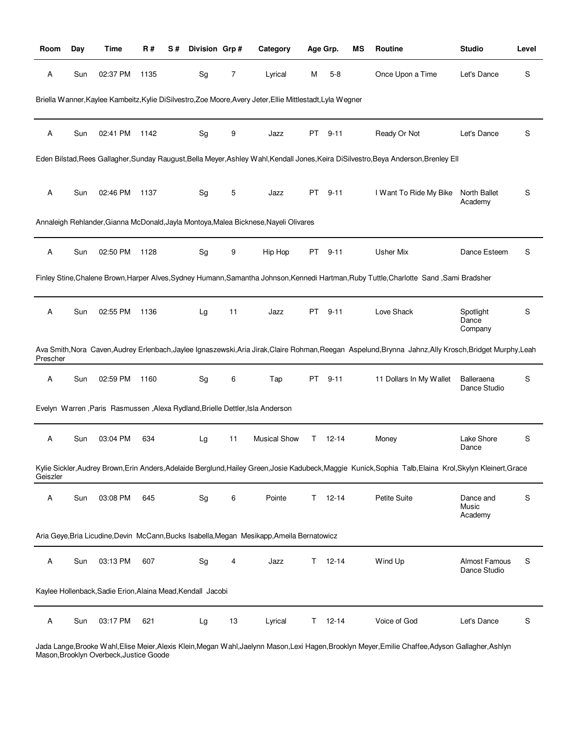| Room     | Day | <b>Time</b>                                                 | R#   | S# | Division Grp# |    | Category                                                                                                   |    | Age Grp.  | ΜS | Routine                                                                                                                                                  | <b>Studio</b>                 | Level |
|----------|-----|-------------------------------------------------------------|------|----|---------------|----|------------------------------------------------------------------------------------------------------------|----|-----------|----|----------------------------------------------------------------------------------------------------------------------------------------------------------|-------------------------------|-------|
| Α        | Sun | 02:37 PM                                                    | 1135 |    | Sg            | 7  | Lyrical                                                                                                    | M  | $5-8$     |    | Once Upon a Time                                                                                                                                         | Let's Dance                   | S     |
|          |     |                                                             |      |    |               |    | Briella Wanner, Kaylee Kambeitz, Kylie DiSilvestro, Zoe Moore, Avery Jeter, Ellie Mittlestadt, Lyla Wegner |    |           |    |                                                                                                                                                          |                               |       |
| Α        | Sun | 02:41 PM                                                    | 1142 |    | Sg            | 9  | Jazz                                                                                                       | PT | $9 - 11$  |    | Ready Or Not                                                                                                                                             | Let's Dance                   | S     |
|          |     |                                                             |      |    |               |    |                                                                                                            |    |           |    | Eden Bilstad, Rees Gallagher, Sunday Raugust, Bella Meyer, Ashley Wahl, Kendall Jones, Keira DiSilvestro, Beya Anderson, Brenley Ell                     |                               |       |
| Α        | Sun | 02:46 PM                                                    | 1137 |    | Sg            | 5  | Jazz                                                                                                       | PT | $9 - 11$  |    | I Want To Ride My Bike                                                                                                                                   | North Ballet<br>Academy       | S     |
|          |     |                                                             |      |    |               |    | Annaleigh Rehlander, Gianna McDonald, Jayla Montoya, Malea Bicknese, Nayeli Olivares                       |    |           |    |                                                                                                                                                          |                               |       |
| Α        | Sun | 02:50 PM                                                    | 1128 |    | Sg            | 9  | Hip Hop                                                                                                    | PT | $9 - 11$  |    | Usher Mix                                                                                                                                                | Dance Esteem                  | S     |
|          |     |                                                             |      |    |               |    |                                                                                                            |    |           |    | Finley Stine, Chalene Brown, Harper Alves, Sydney Humann, Samantha Johnson, Kennedi Hartman, Ruby Tuttle, Charlotte Sand, Sami Bradsher                  |                               |       |
| Α        | Sun | 02:55 PM                                                    | 1136 |    | Lg            | 11 | Jazz                                                                                                       | PT | $9 - 11$  |    | Love Shack                                                                                                                                               | Spotlight<br>Dance<br>Company | S     |
| Prescher |     |                                                             |      |    |               |    |                                                                                                            |    |           |    | Ava Smith, Nora Caven, Audrey Erlenbach, Jaylee Ignaszewski, Aria Jirak, Claire Rohman, Reegan Aspelund, Brynna Jahnz, Ally Krosch, Bridget Murphy, Leah |                               |       |
| Α        | Sun | 02:59 PM                                                    | 1160 |    | Sg            | 6  | Tap                                                                                                        | PT | $9 - 11$  |    | 11 Dollars In My Wallet                                                                                                                                  | Balleraena<br>Dance Studio    | S     |
|          |     |                                                             |      |    |               |    | Evelyn Warren, Paris Rasmussen, Alexa Rydland, Brielle Dettler, Isla Anderson                              |    |           |    |                                                                                                                                                          |                               |       |
| Α        | Sun | 03:04 PM                                                    | 634  |    | Lg            | 11 | <b>Musical Show</b>                                                                                        | Τ  | $12 - 14$ |    | Money                                                                                                                                                    | Lake Shore<br>Dance           | S     |
| Geiszler |     |                                                             |      |    |               |    |                                                                                                            |    |           |    | Kylie Sickler,Audrey Brown,Erin Anders,Adelaide Berglund,Hailey Green,Josie Kadubeck,Maggie Kunick,Sophia Talb,Elaina Krol,Skylyn Kleinert,Grace         |                               |       |
| Α        | Sun | 03:08 PM                                                    | 645  |    | Sg            | 6  | Pointe                                                                                                     | T. | $12 - 14$ |    | Petite Suite                                                                                                                                             | Dance and<br>Music<br>Academy | S     |
|          |     |                                                             |      |    |               |    | Aria Geye, Bria Licudine, Devin McCann, Bucks Isabella, Megan Mesikapp, Ameila Bernatowicz                 |    |           |    |                                                                                                                                                          |                               |       |
| Α        | Sun | 03:13 PM                                                    | 607  |    | Sg            | 4  | Jazz                                                                                                       | Τ  | $12 - 14$ |    | Wind Up                                                                                                                                                  | Almost Famous<br>Dance Studio | S     |
|          |     | Kaylee Hollenback, Sadie Erion, Alaina Mead, Kendall Jacobi |      |    |               |    |                                                                                                            |    |           |    |                                                                                                                                                          |                               |       |
| Α        | Sun | 03:17 PM                                                    | 621  |    | Lg            | 13 | Lyrical                                                                                                    | Τ  | $12 - 14$ |    | Voice of God                                                                                                                                             | Let's Dance                   | S     |

Jada Lange,Brooke Wahl,Elise Meier,Alexis Klein,Megan Wahl,Jaelynn Mason,Lexi Hagen,Brooklyn Meyer,Emilie Chaffee,Adyson Gallagher,Ashlyn Mason,Brooklyn Overbeck,Justice Goode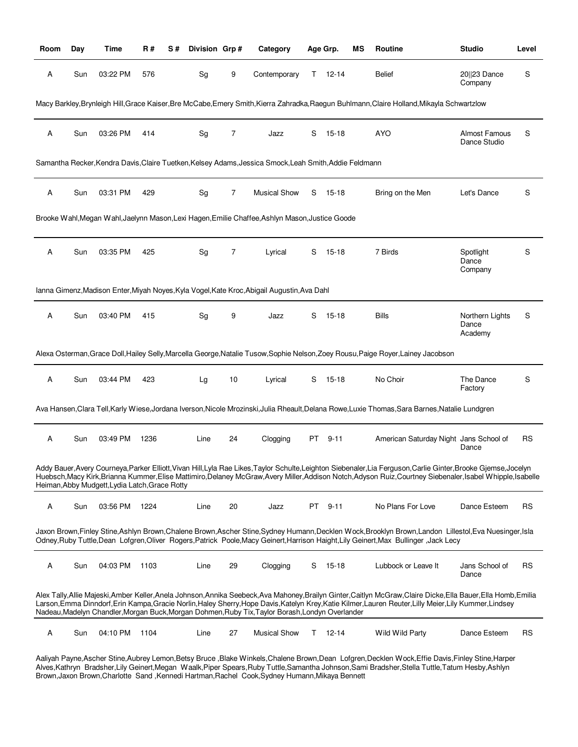| Room | Day | Time                                           | R#   | S# | Division Grp# |    | Category                                                                                               |     | Age Grp.      | ΜS | Routine                                                                                                                                                                                                                                                                                                                          | <b>Studio</b>                        | Level     |
|------|-----|------------------------------------------------|------|----|---------------|----|--------------------------------------------------------------------------------------------------------|-----|---------------|----|----------------------------------------------------------------------------------------------------------------------------------------------------------------------------------------------------------------------------------------------------------------------------------------------------------------------------------|--------------------------------------|-----------|
| Α    | Sun | 03:22 PM                                       | 576  |    | Sg            | 9  | Contemporary                                                                                           |     | $T = 12 - 14$ |    | <b>Belief</b>                                                                                                                                                                                                                                                                                                                    | 20  23 Dance<br>Company              | S         |
|      |     |                                                |      |    |               |    |                                                                                                        |     |               |    | Macy Barkley,Brynleigh Hill,Grace Kaiser,Bre McCabe,Emery Smith,Kierra Zahradka,Raegun Buhlmann,Claire Holland,Mikayla Schwartzlow                                                                                                                                                                                               |                                      |           |
| Α    | Sun | 03:26 PM                                       | 414  |    | Sg            | 7  | Jazz                                                                                                   | S   | $15 - 18$     |    | <b>AYO</b>                                                                                                                                                                                                                                                                                                                       | <b>Almost Famous</b><br>Dance Studio | S         |
|      |     |                                                |      |    |               |    | Samantha Recker, Kendra Davis, Claire Tuetken, Kelsey Adams, Jessica Smock, Leah Smith, Addie Feldmann |     |               |    |                                                                                                                                                                                                                                                                                                                                  |                                      |           |
| A    | Sun | 03:31 PM                                       | 429  |    | Sg            | 7  | <b>Musical Show</b>                                                                                    | S   | 15-18         |    | Bring on the Men                                                                                                                                                                                                                                                                                                                 | Let's Dance                          | S         |
|      |     |                                                |      |    |               |    | Brooke Wahl, Megan Wahl, Jaelynn Mason, Lexi Hagen, Emilie Chaffee, Ashlyn Mason, Justice Goode        |     |               |    |                                                                                                                                                                                                                                                                                                                                  |                                      |           |
| A    | Sun | 03:35 PM                                       | 425  |    | Sg            | 7  | Lyrical                                                                                                | S   | 15-18         |    | 7 Birds                                                                                                                                                                                                                                                                                                                          | Spotlight<br>Dance<br>Company        | S         |
|      |     |                                                |      |    |               |    | Ianna Gimenz, Madison Enter, Miyah Noyes, Kyla Vogel, Kate Kroc, Abigail Augustin, Ava Dahl            |     |               |    |                                                                                                                                                                                                                                                                                                                                  |                                      |           |
| A    | Sun | 03:40 PM                                       | 415  |    | Sg            | 9  | Jazz                                                                                                   | S   | $15 - 18$     |    | <b>Bills</b>                                                                                                                                                                                                                                                                                                                     | Northern Lights<br>Dance<br>Academy  | S         |
|      |     |                                                |      |    |               |    |                                                                                                        |     |               |    | Alexa Osterman, Grace Doll, Hailey Selly, Marcella George, Natalie Tusow, Sophie Nelson, Zoey Rousu, Paige Royer, Lainey Jacobson                                                                                                                                                                                                |                                      |           |
| Α    | Sun | 03:44 PM                                       | 423  |    | Lg            | 10 | Lyrical                                                                                                | S   | 15-18         |    | No Choir                                                                                                                                                                                                                                                                                                                         | The Dance<br>Factory                 | S         |
|      |     |                                                |      |    |               |    |                                                                                                        |     |               |    | Ava Hansen, Clara Tell, Karly Wiese, Jordana Iverson, Nicole Mrozinski, Julia Rheault, Delana Rowe, Luxie Thomas, Sara Barnes, Natalie Lundgren                                                                                                                                                                                  |                                      |           |
| Α    | Sun | 03:49 PM                                       | 1236 |    | Line          | 24 | Clogging                                                                                               | PT  | $9 - 11$      |    | American Saturday Night Jans School of                                                                                                                                                                                                                                                                                           | Dance                                | <b>RS</b> |
|      |     | Heiman, Abby Mudgett, Lydia Latch, Grace Rotty |      |    |               |    |                                                                                                        |     |               |    | Addy Bauer, Avery Courneya, Parker Elliott, Vivan Hill, Lyla Rae Likes, Taylor Schulte, Leighton Siebenaler, Lia Ferguson, Carlie Ginter, Brooke Gjemse, Jocelyn<br>Huebsch, Macy Kirk, Brianna Kummer, Elise Mattimiro, Delaney McGraw, Avery Miller, Addison Notch, Adyson Ruiz, Courtney Siebenaler, Isabel Whipple, Isabelle |                                      |           |
| Α    | Sun | 03:56 PM                                       | 1224 |    | Line          | 20 | Jazz                                                                                                   | PT. | $9 - 11$      |    | No Plans For Love                                                                                                                                                                                                                                                                                                                | Dance Esteem                         | <b>RS</b> |
|      |     |                                                |      |    |               |    |                                                                                                        |     |               |    | Jaxon Brown, Finley Stine, Ashlyn Brown, Chalene Brown, Ascher Stine, Sydney Humann, Decklen Wock, Brooklyn Brown, Landon Lillestol, Eva Nuesinger, Isla<br>Odney, Ruby Tuttle, Dean Lofgren, Oliver Rogers, Patrick Poole, Macy Geinert, Harrison Haight, Lily Geinert, Max Bullinger, Jack Lecy                                |                                      |           |
| Α    | Sun | 04:03 PM                                       | 1103 |    | Line          | 29 | Clogging                                                                                               |     | S 15-18       |    | Lubbock or Leave It                                                                                                                                                                                                                                                                                                              | Jans School of<br>Dance              | <b>RS</b> |
|      |     |                                                |      |    |               |    | Nadeau, Madelyn Chandler, Morgan Buck, Morgan Dohmen, Ruby Tix, Taylor Borash, Londyn Overlander       |     |               |    | Alex Tally,Allie Majeski,Amber Keller,Anela Johnson,Annika Seebeck,Ava Mahoney,Brailyn Ginter,Caitlyn McGraw,Claire Dicke,Ella Bauer,Ella Homb,Emilia<br>Larson, Emma Dinndorf, Erin Kampa, Gracie Norlin, Haley Sherry, Hope Davis, Katelyn Krey, Katie Kilmer, Lauren Reuter, Lilly Meier, Lily Kummer, Lindsey                |                                      |           |
| Α    | Sun | 04:10 PM                                       | 1104 |    | Line          | 27 | <b>Musical Show</b>                                                                                    |     | $T = 12 - 14$ |    | Wild Wild Party                                                                                                                                                                                                                                                                                                                  | Dance Esteem                         | <b>RS</b> |

Aaliyah Payne,Ascher Stine,Aubrey Lemon,Betsy Bruce ,Blake Winkels,Chalene Brown,Dean Lofgren,Decklen Wock,Effie Davis,Finley Stine,Harper Alves,Kathryn Bradsher,Lily Geinert,Megan Waalk,Piper Spears,Ruby Tuttle,Samantha Johnson,Sami Bradsher,Stella Tuttle,Tatum Hesby,Ashlyn Brown,Jaxon Brown,Charlotte Sand ,Kennedi Hartman,Rachel Cook,Sydney Humann,Mikaya Bennett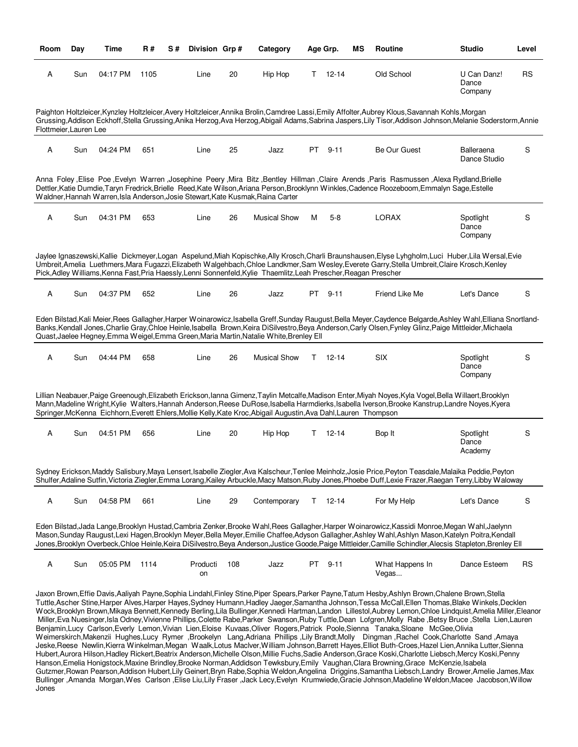| Room                   | Day | Time     | R#   | S# | Division Grp#  |     | Category                                                                                                          |    | Age Grp.      | ΜS | <b>Routine</b>                                                                                                                                                                                                                                                                                                                                                                                                                                                 | <b>Studio</b>                   | Level     |
|------------------------|-----|----------|------|----|----------------|-----|-------------------------------------------------------------------------------------------------------------------|----|---------------|----|----------------------------------------------------------------------------------------------------------------------------------------------------------------------------------------------------------------------------------------------------------------------------------------------------------------------------------------------------------------------------------------------------------------------------------------------------------------|---------------------------------|-----------|
| Α                      | Sun | 04:17 PM | 1105 |    | Line           | 20  | Hip Hop                                                                                                           | т  | $12 - 14$     |    | Old School                                                                                                                                                                                                                                                                                                                                                                                                                                                     | U Can Danz!<br>Dance<br>Company | <b>RS</b> |
| Flottmeier, Lauren Lee |     |          |      |    |                |     |                                                                                                                   |    |               |    | Paighton Holtzleicer, Kynzley Holtzleicer, Avery Holtzleicer, Annika Brolin, Camdree Lassi, Emily Affolter, Aubrey Klous, Savannah Kohls, Morgan<br>Grussing, Addison Eckhoff, Stella Grussing, Anika Herzog, Ava Herzog, Abigail Adams, Sabrina Jaspers, Lily Tisor, Addison Johnson, Melanie Soderstorm, Annie                                                                                                                                               |                                 |           |
| Α                      | Sun | 04:24 PM | 651  |    | Line           | 25  | Jazz                                                                                                              | PT | $9 - 11$      |    | Be Our Guest                                                                                                                                                                                                                                                                                                                                                                                                                                                   | Balleraena<br>Dance Studio      | S         |
|                        |     |          |      |    |                |     | Waldner, Hannah Warren, Isla Anderson, Josie Stewart, Kate Kusmak, Raina Carter                                   |    |               |    | Alnna Foley ,Elise Poe ,Evelyn Warren ,Josephine Peery ,Mira Bitz ,Bentley Hillman ,Claire Arends ,Paris Rasmussen ,Alexa Rydland,Brielle<br>Dettler, Katie Dumdie, Taryn Fredrick, Brielle Reed, Kate Wilson, Ariana Person, Brooklynn Winkles, Cadence Roozeboom, Emmalyn Sage, Estelle                                                                                                                                                                      |                                 |           |
| Α                      | Sun | 04:31 PM | 653  |    | Line           | 26  | <b>Musical Show</b>                                                                                               | м  | $5 - 8$       |    | <b>LORAX</b>                                                                                                                                                                                                                                                                                                                                                                                                                                                   | Spotlight<br>Dance<br>Company   | S         |
|                        |     |          |      |    |                |     | Pick, Adley Williams, Kenna Fast, Pria Haessly, Lenni Sonnenfeld, Kylie Thaemlitz, Leah Prescher, Reagan Prescher |    |               |    | Jaylee Ignaszewski,Kallie Dickmeyer,Logan Aspelund,Miah Kopischke,Ally Krosch,Charli Braunshausen,Elyse Lyhgholm,Luci Huber,Lila Wersal,Evie<br>Umbreit, Amelia Luethmers, Mara Fugazzi, Elizabeth Walgehbach, Chloe Landkmer, Sam Wesley, Everete Garry, Stella Umbreit, Claire Krosch, Kenley                                                                                                                                                                |                                 |           |
| Α                      | Sun | 04:37 PM | 652  |    | Line           | 26  | Jazz                                                                                                              | PT | $9 - 11$      |    | Friend Like Me                                                                                                                                                                                                                                                                                                                                                                                                                                                 | Let's Dance                     | S         |
|                        |     |          |      |    |                |     | Quast, Jaelee Hegney, Emma Weigel, Emma Green, Maria Martin, Natalie White, Brenley Ell                           |    |               |    | Eden Bilstad, Kali Meier, Rees Gallagher, Harper Woinarowicz, Isabella Greff, Sunday Raugust, Bella Meyer, Caydence Belgarde, Ashley Wahl, Elliana Snortland-<br>Banks, Kendall Jones, Charlie Gray, Chloe Heinle, Isabella Brown, Keira DiSilvestro, Beya Anderson, Carly Olsen, Fynley Glinz, Paige Mittleider, Michaela                                                                                                                                     |                                 |           |
| Α                      | Sun | 04:44 PM | 658  |    | Line           | 26  | <b>Musical Show</b>                                                                                               | T. | $12 - 14$     |    | <b>SIX</b>                                                                                                                                                                                                                                                                                                                                                                                                                                                     | Spotlight<br>Dance<br>Company   | S         |
|                        |     |          |      |    |                |     | Springer, McKenna Eichhorn, Everett Ehlers, Mollie Kelly, Kate Kroc, Abigail Augustin, Ava Dahl, Lauren Thompson  |    |               |    | Lillian Neabauer, Paige Greenough, Elizabeth Erickson, lanna Gimenz, Taylin Metcalfe, Madison Enter, Miyah Noyes, Kyla Vogel, Bella Willaert, Brooklyn<br>Mann, Madeline Wright, Kylie Walters, Hannah Anderson, Reese DuRose, Isabella Harmdierks, Isabella Iverson, Brooke Kanstrup, Landre Noyes, Kyera                                                                                                                                                     |                                 |           |
| Α                      | Sun | 04:51 PM | 656  |    | Line           | 20  | Hip Hop                                                                                                           | T. | $12 - 14$     |    | Bop It                                                                                                                                                                                                                                                                                                                                                                                                                                                         | Spotlight<br>Dance<br>Academy   | S         |
|                        |     |          |      |    |                |     |                                                                                                                   |    |               |    | Sydney Erickson,Maddy Salisbury,Maya Lensert,Isabelle Ziegler,Ava Kalscheur,Tenlee Meinholz,Josie Price,Peyton Teasdale,Malaika Peddie,Peyton<br>Shulfer, Adaline Sutfin, Victoria Ziegler, Emma Lorang, Kailey Arbuckle, Macy Matson, Ruby Jones, Phoebe Duff, Lexie Frazer, Raegan Terry, Libby Waloway                                                                                                                                                      |                                 |           |
| Α                      | Sun | 04:58 PM | 661  |    | Line           | 29  | Contemporary                                                                                                      |    | $T = 12 - 14$ |    | For My Help                                                                                                                                                                                                                                                                                                                                                                                                                                                    | Let's Dance                     | S         |
|                        |     |          |      |    |                |     |                                                                                                                   |    |               |    | Eden Bilstad, Jada Lange, Brooklyn Hustad, Cambria Zenker, Brooke Wahl, Rees Gallagher, Harper Woinarowicz, Kassidi Monroe, Megan Wahl, Jaelynn<br>Mason, Sunday Raugust, Lexi Hagen, Brooklyn Meyer, Bella Meyer, Emilie Chaffee, Adyson Gallagher, Ashley Wahl, Ashlyn Mason, Katelyn Poitra, Kendall<br>Jones,Brooklyn Overbeck,Chloe Heinle,Keira DiSilvestro,Beya Anderson,Justice Goode,Paige Mittleider,Camille Schindler,Alecsis Stapleton,Brenley Ell |                                 |           |
| A                      | Sun | 05:05 PM | 1114 |    | Producti<br>on | 108 | Jazz                                                                                                              | PT | $9 - 11$      |    | What Happens In<br>Vegas                                                                                                                                                                                                                                                                                                                                                                                                                                       | Dance Esteem                    | <b>RS</b> |

Jaxon Brown,Effie Davis,Aaliyah Payne,Sophia Lindahl,Finley Stine,Piper Spears,Parker Payne,Tatum Hesby,Ashlyn Brown,Chalene Brown,Stella Tuttle,Ascher Stine,Harper Alves,Harper Hayes,Sydney Humann,Hadley Jaeger,Samantha Johnson,Tessa McCall,Ellen Thomas,Blake Winkels,Decklen Wock,Brooklyn Brown,Mikaya Bennett,Kennedy Berling,Lila Bullinger,Kennedi Hartman,Landon Lillestol,Aubrey Lemon,Chloe Lindquist,Amelia Miller,Eleanor Miller,Eva Nuesinger,Isla Odney,Vivienne Phillips,Colette Rabe,Parker Swanson,Ruby Tuttle,Dean Lofgren,Molly Rabe ,Betsy Bruce ,Stella Lien,Lauren Benjamin,Lucy Carlson,Everly Lemon,Vivian Lien,Eloise Kuvaas,Oliver Rogers,Patrick Poole,Sienna Tanaka,Sloane McGee,Olivia Weimerskirch,Makenzii Hughes,Lucy Rymer ,Brookelyn Lang,Adriana Phillips ,Lily Brandt,Molly Dingman ,Rachel Cook,Charlotte Sand ,Amaya Jeske,Reese Newlin,Kierra Winkelman,Megan Waalk,Lotus Maclver,William Johnson,Barrett Hayes,Elliot Buth-Croes,Hazel Lien,Annika Lutter,Sienna Hubert,Aurora Hilson,Hadley Rickert,Beatrix Anderson,Michelle Olson,Millie Fuchs,Sadie Anderson,Grace Koski,Charlotte Liebsch,Mercy Koski,Penny Hanson,Emelia Honigstock,Maxine Brindley,Brooke Norman,Addidson Tewksbury,Emily Vaughan,Clara Browning,Grace McKenzie,Isabela Gutzmer,Rowan Pearson,Addison Hubert,Lily Geinert,Bryn Rabe,Sophia Weldon,Angelina Driggins,Samantha Liebsch,Landry Brower,Amelie James,Max Bullinger ,Amanda Morgan,Wes Carlson ,Elise Liu,Lily Fraser ,Jack Lecy,Evelyn Krumwiede,Gracie Johnson,Madeline Weldon,Macee Jacobson,Willow Jones